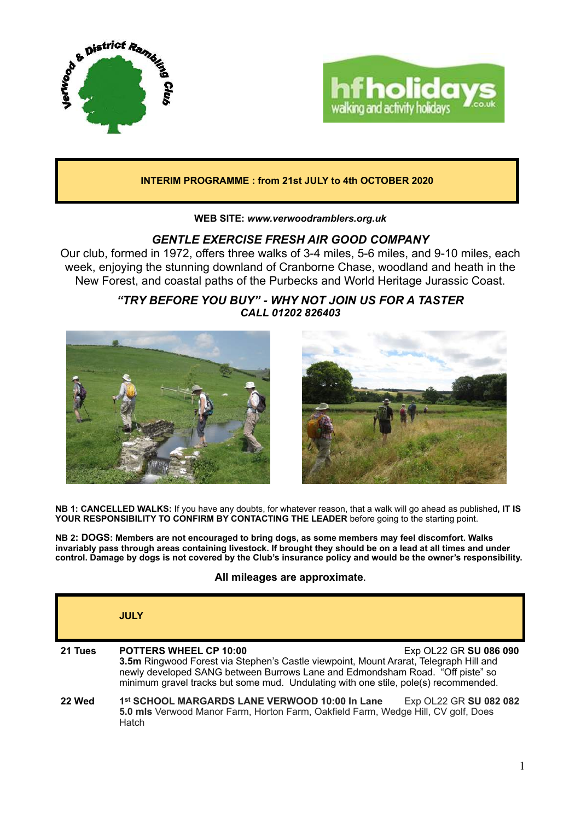



## **INTERIM PROGRAMME : from 21st JULY to 4th OCTOBER 2020**

**WEB SITE:** *[www.verwoodramblers.org.uk](http://www.verwoodramblers.org.uk)*

# *GENTLE EXERCISE FRESH AIR GOOD COMPANY*

Our club, formed in 1972, offers three walks of 3-4 miles, 5-6 miles, and 9-10 miles, each week, enjoying the stunning downland of Cranborne Chase, woodland and heath in the New Forest, and coastal paths of the Purbecks and World Heritage Jurassic Coast.

> *"TRY BEFORE YOU BUY" - WHY NOT JOIN US FOR A TASTER CALL 01202 826403*





**NB 1: CANCELLED WALKS:** If you have any doubts, for whatever reason, that a walk will go ahead as published**, IT IS YOUR RESPONSIBILITY TO CONFIRM BY CONTACTING THE LEADER** before going to the starting point.

**NB 2: DOGS: Members are not encouraged to bring dogs, as some members may feel discomfort. Walks invariably pass through areas containing livestock. If brought they should be on a lead at all times and under control. Damage by dogs is not covered by the Club's insurance policy and would be the owner's responsibility.** 

### **All mileages are approximate.**

|         | <b>JULY</b>                                                                                                                                                                                                                                                                                                              |
|---------|--------------------------------------------------------------------------------------------------------------------------------------------------------------------------------------------------------------------------------------------------------------------------------------------------------------------------|
| 21 Tues | <b>POTTERS WHEEL CP 10:00</b><br>Exp OL22 GR SU 086 090<br>3.5m Ringwood Forest via Stephen's Castle viewpoint, Mount Ararat, Telegraph Hill and<br>newly developed SANG between Burrows Lane and Edmondsham Road. "Off piste" so<br>minimum gravel tracks but some mud. Undulating with one stile, pole(s) recommended. |
| 22 Wed  | Exp OL22 GR SU 082 082<br>1st SCHOOL MARGARDS LANE VERWOOD 10:00 In Lane<br>5.0 mls Verwood Manor Farm, Horton Farm, Oakfield Farm, Wedge Hill, CV golf, Does<br>Hatch                                                                                                                                                   |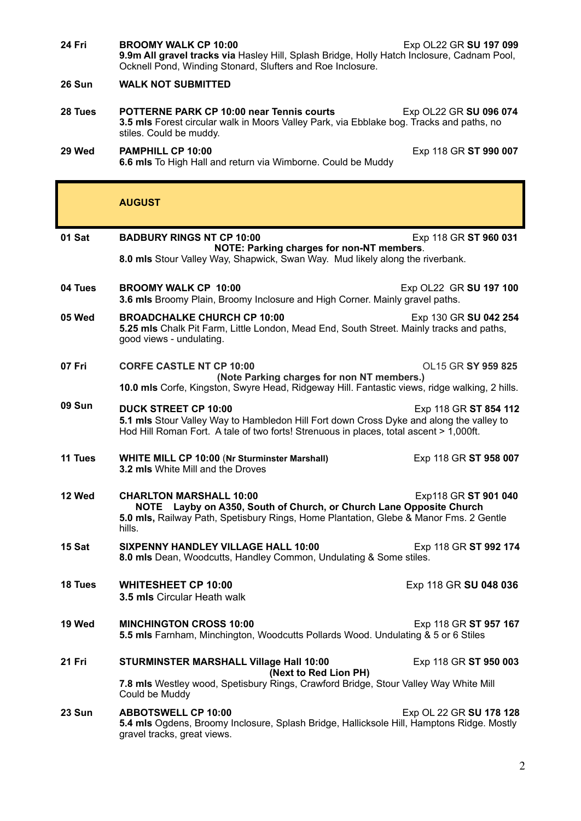| 24 Fri        | <b>BROOMY WALK CP 10:00</b><br>Exp OL22 GR SU 197 099<br>9.9m All gravel tracks via Hasley Hill, Splash Bridge, Holly Hatch Inclosure, Cadnam Pool,<br>Ocknell Pond, Winding Stonard, Slufters and Roe Inclosure.                         |
|---------------|-------------------------------------------------------------------------------------------------------------------------------------------------------------------------------------------------------------------------------------------|
| 26 Sun        | <b>WALK NOT SUBMITTED</b>                                                                                                                                                                                                                 |
| 28 Tues       | <b>POTTERNE PARK CP 10:00 near Tennis courts</b><br>Exp OL22 GR SU 096 074<br>3.5 mls Forest circular walk in Moors Valley Park, via Ebblake bog. Tracks and paths, no<br>stiles. Could be muddy.                                         |
| 29 Wed        | PAMPHILL CP 10:00<br>Exp 118 GR ST 990 007<br>6.6 mls To High Hall and return via Wimborne. Could be Muddy                                                                                                                                |
|               | <b>AUGUST</b>                                                                                                                                                                                                                             |
| 01 Sat        | <b>BADBURY RINGS NT CP 10:00</b><br>Exp 118 GR ST 960 031<br>NOTE: Parking charges for non-NT members.<br>8.0 mls Stour Valley Way, Shapwick, Swan Way. Mud likely along the riverbank.                                                   |
| 04 Tues       | <b>BROOMY WALK CP 10:00</b><br>Exp OL22 GR SU 197 100<br>3.6 mls Broomy Plain, Broomy Inclosure and High Corner. Mainly gravel paths.                                                                                                     |
| 05 Wed        | <b>BROADCHALKE CHURCH CP 10:00</b><br>Exp 130 GR SU 042 254<br>5.25 mls Chalk Pit Farm, Little London, Mead End, South Street. Mainly tracks and paths,<br>good views - undulating.                                                       |
| 07 Fri        | <b>CORFE CASTLE NT CP 10:00</b><br>OL15 GR SY 959 825<br>(Note Parking charges for non NT members.)<br>10.0 mls Corfe, Kingston, Swyre Head, Ridgeway Hill. Fantastic views, ridge walking, 2 hills.                                      |
| <b>09 Sun</b> | <b>DUCK STREET CP 10:00</b><br>Exp 118 GR ST 854 112<br>5.1 mls Stour Valley Way to Hambledon Hill Fort down Cross Dyke and along the valley to<br>Hod Hill Roman Fort. A tale of two forts! Strenuous in places, total ascent > 1,000ft. |
| 11 Tues       | <b>WHITE MILL CP 10:00 (Nr Sturminster Marshall)</b><br>Exp 118 GR ST 958 007<br>3.2 mls White Mill and the Droves                                                                                                                        |
| 12 Wed        | <b>CHARLTON MARSHALL 10:00</b><br>Exp118 GR ST 901 040<br>NOTE Layby on A350, South of Church, or Church Lane Opposite Church<br>5.0 mls, Railway Path, Spetisbury Rings, Home Plantation, Glebe & Manor Fms. 2 Gentle<br>hills.          |
| 15 Sat        | <b>SIXPENNY HANDLEY VILLAGE HALL 10:00</b><br>Exp 118 GR ST 992 174<br>8.0 mls Dean, Woodcutts, Handley Common, Undulating & Some stiles.                                                                                                 |
| 18 Tues       | <b>WHITESHEET CP 10:00</b><br>Exp 118 GR SU 048 036<br><b>3.5 mls Circular Heath walk</b>                                                                                                                                                 |
| 19 Wed        | <b>MINCHINGTON CROSS 10:00</b><br>Exp 118 GR ST 957 167<br>5.5 mls Farnham, Minchington, Woodcutts Pollards Wood. Undulating & 5 or 6 Stiles                                                                                              |
| 21 Fri        | <b>STURMINSTER MARSHALL Village Hall 10:00</b><br>Exp 118 GR ST 950 003<br>(Next to Red Lion PH)                                                                                                                                          |
|               | 7.8 mls Westley wood, Spetisbury Rings, Crawford Bridge, Stour Valley Way White Mill<br>Could be Muddy                                                                                                                                    |
| 23 Sun        | <b>ABBOTSWELL CP 10:00</b><br>Exp OL 22 GR SU 178 128<br>5.4 mls Ogdens, Broomy Inclosure, Splash Bridge, Hallicksole Hill, Hamptons Ridge. Mostly<br>gravel tracks, great views.                                                         |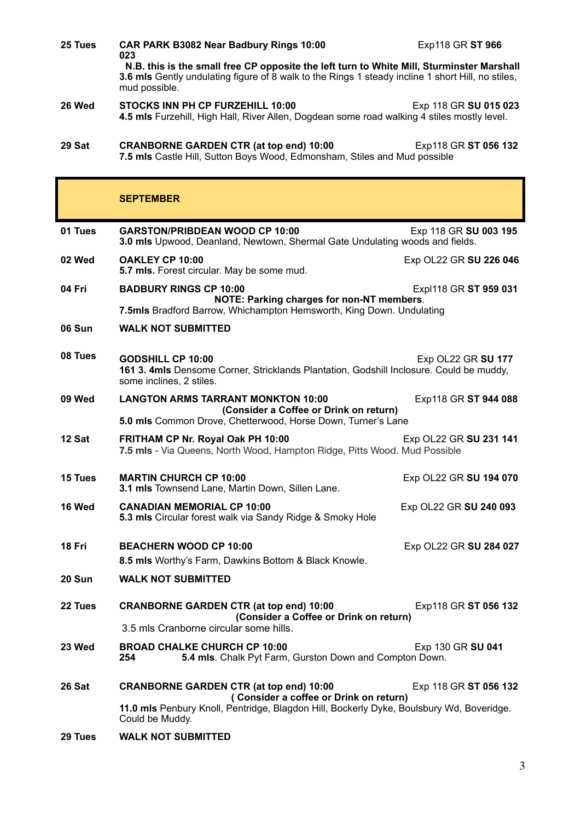| 25 Tues | CAR PARK B3082 Near Badbury Rings 10:00                                                                                                                                                                                          | Exp118 GR ST 966       |  |
|---------|----------------------------------------------------------------------------------------------------------------------------------------------------------------------------------------------------------------------------------|------------------------|--|
|         | 023<br>N.B. this is the small free CP opposite the left turn to White Mill, Sturminster Marshall<br>3.6 mls Gently undulating figure of 8 walk to the Rings 1 steady incline 1 short Hill, no stiles,<br>mud possible.           |                        |  |
| 26 Wed  | STOCKS INN PH CP FURZEHILL 10:00<br>4.5 mls Furzehill, High Hall, River Allen, Dogdean some road walking 4 stiles mostly level.                                                                                                  | Exp 118 GR SU 015 023  |  |
| 29 Sat  | <b>CRANBORNE GARDEN CTR (at top end) 10:00</b><br>7.5 mls Castle Hill, Sutton Boys Wood, Edmonsham, Stiles and Mud possible                                                                                                      | Exp118 GR ST 056 132   |  |
|         | <b>SEPTEMBER</b>                                                                                                                                                                                                                 |                        |  |
| 01 Tues | <b>GARSTON/PRIBDEAN WOOD CP 10:00</b><br>3.0 mls Upwood, Deanland, Newtown, Shermal Gate Undulating woods and fields.                                                                                                            | Exp 118 GR SU 003 195  |  |
| 02 Wed  | OAKLEY CP 10:00<br>5.7 mls. Forest circular. May be some mud.                                                                                                                                                                    | Exp OL22 GR SU 226 046 |  |
| 04 Fri  | <b>BADBURY RINGS CP 10:00</b><br>NOTE: Parking charges for non-NT members.                                                                                                                                                       | Expl118 GR ST 959 031  |  |
| 06 Sun  | 7.5mls Bradford Barrow, Whichampton Hemsworth, King Down. Undulating<br><b>WALK NOT SUBMITTED</b>                                                                                                                                |                        |  |
| 08 Tues | <b>GODSHILL CP 10:00</b><br>161 3. 4mls Densome Corner, Stricklands Plantation, Godshill Inclosure. Could be muddy,<br>some inclines, 2 stiles.                                                                                  | Exp OL22 GR SU 177     |  |
| 09 Wed  | <b>LANGTON ARMS TARRANT MONKTON 10:00</b><br>(Consider a Coffee or Drink on return)<br>5.0 mls Common Drove, Chetterwood, Horse Down, Turner's Lane                                                                              | Exp118 GR ST 944 088   |  |
| 12 Sat  | FRITHAM CP Nr. Royal Oak PH 10:00<br>7.5 mls - Via Queens, North Wood, Hampton Ridge, Pitts Wood. Mud Possible                                                                                                                   | Exp OL22 GR SU 231 141 |  |
| 15 Tues | <b>MARTIN CHURCH CP 10:00</b><br>3.1 mls Townsend Lane, Martin Down, Sillen Lane.                                                                                                                                                | Exp OL22 GR SU 194 070 |  |
| 16 Wed  | <b>CANADIAN MEMORIAL CP 10:00</b><br>5.3 mls Circular forest walk via Sandy Ridge & Smoky Hole                                                                                                                                   | Exp OL22 GR SU 240 093 |  |
| 18 Fri  | <b>BEACHERN WOOD CP 10:00</b><br>8.5 mls Worthy's Farm, Dawkins Bottom & Black Knowle.                                                                                                                                           | Exp OL22 GR SU 284 027 |  |
| 20 Sun  | <b>WALK NOT SUBMITTED</b>                                                                                                                                                                                                        |                        |  |
| 22 Tues | <b>CRANBORNE GARDEN CTR (at top end) 10:00</b><br>(Consider a Coffee or Drink on return)<br>3.5 mls Cranborne circular some hills.                                                                                               | Exp118 GR ST 056 132   |  |
| 23 Wed  | <b>BROAD CHALKE CHURCH CP 10:00</b><br>5.4 mls. Chalk Pyt Farm, Gurston Down and Compton Down.<br>254                                                                                                                            | Exp 130 GR SU 041      |  |
| 26 Sat  | <b>CRANBORNE GARDEN CTR (at top end) 10:00</b><br>Exp 118 GR ST 056 132<br>(Consider a coffee or Drink on return)<br>11.0 mls Penbury Knoll, Pentridge, Blagdon Hill, Bockerly Dyke, Boulsbury Wd, Boveridge.<br>Could be Muddy. |                        |  |
| 29 Tues | <b>WALK NOT SUBMITTED</b>                                                                                                                                                                                                        |                        |  |